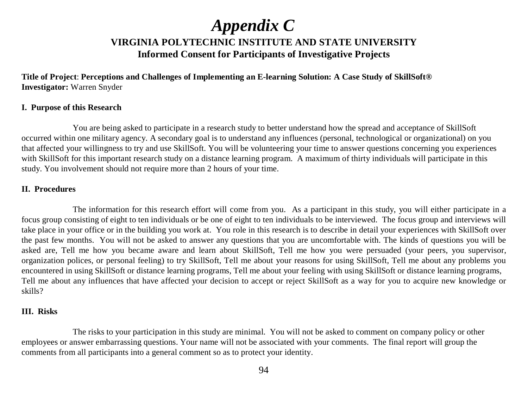## **VIRGINIA POLYTECHNIC INSTITUTE AND STATE UNIVERSITYInformed Consent for Participants of Investigative Projects** *Appendix C*

**Title of Project**: **Perceptions and Challenges of Implementing an E-learning Solution: A Case Study of SkillSoft® Investigator:** Warren Snyder

#### **I. Purpose of this Research**

You are being asked to participate in a research study to better understand how the spread and acceptance of SkillSoft occurred within one military agency. A secondary goal is to understand any influences (personal, technological or organizational) on you that affected your willingness to try and use SkillSoft. You will be volunteering your time to answer questions concerning you experiences with SkillSoft for this important research study on a distance learning program. A maximum of thirty individuals will participate in this study. You involvement should not require more than 2 hours of your time.

#### **II. Procedures**

The information for this research effort will come from you. As a participant in this study, you will either participate in a focus group consisting of eight to ten individuals or be one of eight to ten individuals to be interviewed. The focus group and interviews will take place in your office or in the building you work at. You role in this research is to describe in detail your experiences with SkillSoft over the past few months. You will not be asked to answer any questions that you are uncomfortable with. The kinds of questions you will be asked are, Tell me how you became aware and learn about SkillSoft, Tell me how you were persuaded (your peers, you supervisor, organization polices, or personal feeling) to try SkillSoft, Tell me about your reasons for using SkillSoft, Tell me about any problems you encountered in using SkillSoft or distance learning programs, Tell me about your feeling with using SkillSoft or distance learning programs, Tell me about any influences that have affected your decision to accept or reject SkillSoft as a way for you to acquire new knowledge or skills?

#### **III. Risks**

The risks to your participation in this study are minimal. You will not be asked to comment on company policy or other employees or answer embarrassing questions. Your name will not be associated with your comments. The final report will group the comments from all participants into a general comment so as to protect your identity.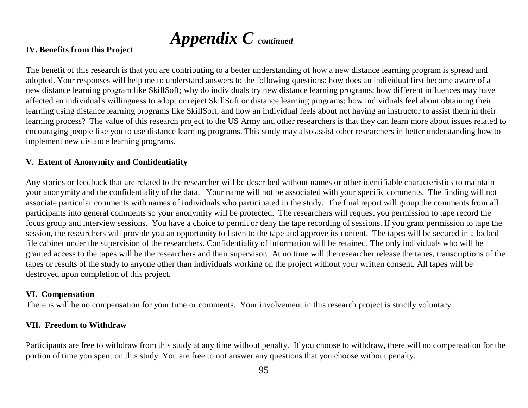# *Appendix C continued*

#### **IV. Benefits from this Project**

The benefit of this research is that you are contributing to a better understanding of how a new distance learning program is spread and adopted. Your responses will help me to understand answers to the following questions: how does an individual first become aware of a new distance learning program like SkillSoft; why do individuals try new distance learning programs; how different influences may have affected an individual's willingness to adopt or reject SkillSoft or distance learning programs; how individuals feel about obtaining their learning using distance learning programs like SkillSoft; and how an individual feels about not having an instructor to assist them in their learning process? The value of this research project to the US Army and other researchers is that they can learn more about issues related to encouraging people like you to use distance learning programs. This study may also assist other researchers in better understanding how to implement new distance learning programs.

#### **V. Extent of Anonymity and Confidentiality**

Any stories or feedback that are related to the researcher will be described without names or other identifiable characteristics to maintain your anonymity and the confidentiality of the data. Your name will not be associated with your specific comments. The finding will not associate particular comments with names of individuals who participated in the study. The final report will group the comments from all participants into general comments so your anonymity will be protected. The researchers will request you permission to tape record the focus group and interview sessions. You have a choice to permit or deny the tape recording of sessions. If you grant permission to tape the session, the researchers will provide you an opportunity to listen to the tape and approve its content. The tapes will be secured in a locked file cabinet under the supervision of the researchers. Confidentiality of information will be retained. The only individuals who will be granted access to the tapes will be the researchers and their supervisor. At no time will the researcher release the tapes, transcriptions of the tapes or results of the study to anyone other than individuals working on the project without your written consent. All tapes will be destroyed upon completion of this project.

#### **VI. Compensation**

There is will be no compensation for your time or comments. Your involvement in this research project is strictly voluntary.

#### **VII. Freedom to Withdraw**

Participants are free to withdraw from this study at any time without penalty. If you choose to withdraw, there will no compensation for the portion of time you spent on this study. You are free to not answer any questions that you choose without penalty.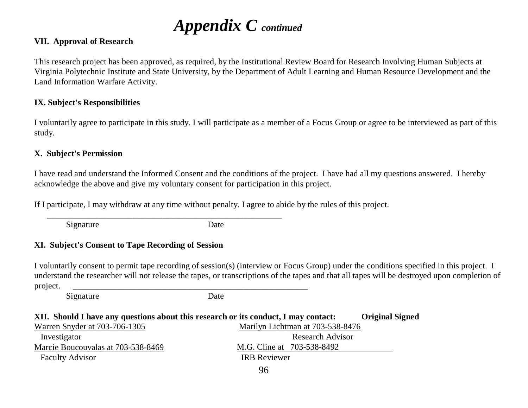# *Appendix C continued*

#### **VII. Approval of Research**

This research project has been approved, as required, by the Institutional Review Board for Research Involving Human Subjects at Virginia Polytechnic Institute and State University, by the Department of Adult Learning and Human Resource Development and the Land Information Warfare Activity.

#### **IX. Subject's Responsibilities**

I voluntarily agree to participate in this study. I will participate as a member of a Focus Group or agree to be interviewed as part of this study.

#### **X. Subject's Permission**

I have read and understand the Informed Consent and the conditions of the project. I have had all my questions answered. I hereby acknowledge the above and give my voluntary consent for participation in this project.

If I participate, I may withdraw at any time without penalty. I agree to abide by the rules of this project.

Signature Date

### **XI. Subject's Consent to Tape Recording of Session**

I voluntarily consent to permit tape recording of session(s) (interview or Focus Group) under the conditions specified in this project. I understand the researcher will not release the tapes, or transcriptions of the tapes and that all tapes will be destroyed upon completion of project. \_\_\_\_\_\_\_\_\_\_\_\_\_\_\_\_\_\_\_\_\_\_\_\_\_\_\_\_\_\_\_\_\_\_\_\_\_\_\_\_\_\_\_\_\_\_\_\_\_\_\_\_\_\_\_

Signature Date

| XII. Should I have any questions about this research or its conduct, I may contact:<br><b>Original Signed</b> |                            |                                  |  |  |
|---------------------------------------------------------------------------------------------------------------|----------------------------|----------------------------------|--|--|
| Warren Snyder at 703-706-1305                                                                                 |                            | Marilyn Lichtman at 703-538-8476 |  |  |
| Investigator                                                                                                  | <b>Research Advisor</b>    |                                  |  |  |
| Marcie Boucouvalas at 703-538-8469                                                                            | M.G. Cline at 703-538-8492 |                                  |  |  |
| <b>Faculty Advisor</b>                                                                                        | <b>IRB</b> Reviewer        |                                  |  |  |
|                                                                                                               |                            |                                  |  |  |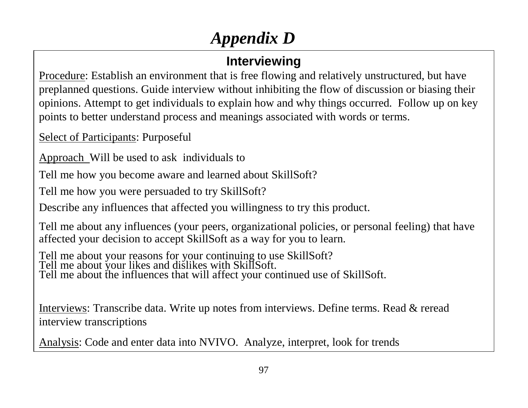# *Appendix D*

# **Interviewing**

Procedure: Establish an environment that is free flowing and relatively unstructured, but have preplanned questions. Guide interview without inhibiting the flow of discussion or biasing their opinions. Attempt to get individuals to explain how and why things occurred. Follow up on key points to better understand process and meanings associated with words or terms.

Select of Participants: Purposeful

Approach Will be used to ask individuals to

Tell me how you become aware and learned about SkillSoft?

Tell me how you were persuaded to try SkillSoft?

Describe any influences that affected you willingness to try this product.

Tell me about any influences (your peers, organizational policies, or personal feeling) that have affected your decision to accept SkillSoft as a way for you to learn.

Tell me about your reasons for your continuing to use SkillSoft? Tell me about your likes and dislikes with SkillSoft. Tell me about the influences that will affect your continued use of SkillSoft.

Interviews: Transcribe data. Write up notes from interviews. Define terms. Read & reread interview transcriptions

Analysis: Code and enter data into NVIVO. Analyze, interpret, look for trends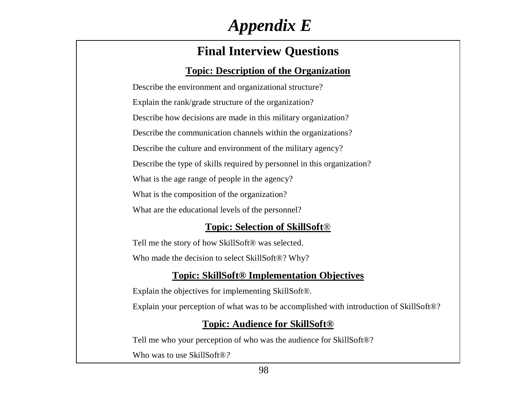# *Appendix E*

## **Final Interview Questions**

### **Topic: Description of the Organization**

Describe the environment and organizational structure? Explain the rank/grade structure of the organization? Describe how decisions are made in this military organization? Describe the communication channels within the organizations? Describe the culture and environment of the military agency? Describe the type of skills required by personnel in this organization? What is the age range of people in the agency? What is the composition of the organization? What are the educational levels of the personnel?

### **Topic: Selection of SkillSoft***®*

Tell me the story of how SkillSoft® was selected. Who made the decision to select SkillSoft®? Why?

### **Topic: SkillSoft® Implementation Objectives**

Explain the objectives for implementing SkillSoft®.

Explain your perception of what was to be accomplished with introduction of SkillSoft®?

### **Topic: Audience for SkillSoft®**

Tell me who your perception of who was the audience for SkillSoft®? Who was to use SkillSoft®*?*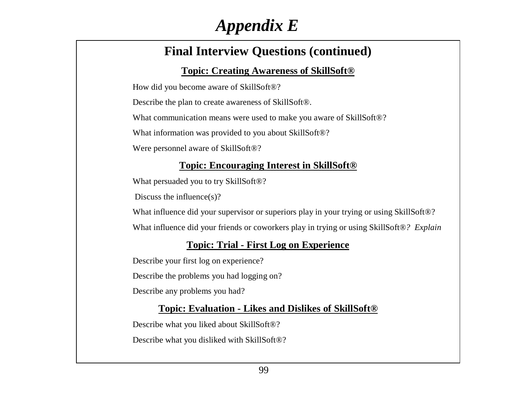# *Appendix E*

## **Final Interview Questions (continued)**

### **Topic: Creating Awareness of SkillSoft®**

How did you become aware of SkillSoft®?

Describe the plan to create awareness of SkillSoft®.

What communication means were used to make you aware of SkillSoft®?

What information was provided to you about SkillSoft®?

Were personnel aware of SkillSoft®?

### **Topic: Encouraging Interest in SkillSoft***®*

What persuaded you to try SkillSoft®?

Discuss the influence(s)?

What influence did your supervisor or superiors play in your trying or using SkillSoft®?

What influence did your friends or coworkers play in trying or using SkillSoft®*? Explain* 

## **Topic: Trial - First Log on Experience**

Describe your first log on experience?

Describe the problems you had logging on?

Describe any problems you had?

### **Topic: Evaluation - Likes and Dislikes of SkillSoft***®*

Describe what you liked about SkillSoft®?

Describe what you disliked with SkillSoft®?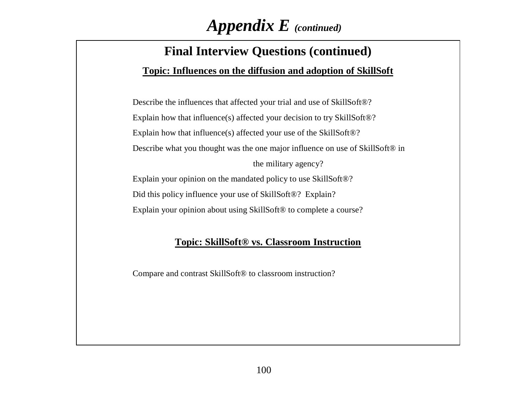# *Appendix E (continued)*

## **Final Interview Questions (continued)**

### **Topic: Influences on the diffusion and adoption of SkillSoft**

Describe the influences that affected your trial and use of SkillSoft®? Explain how that influence(s) affected your decision to try SkillSoft®? Explain how that influence(s) affected your use of the SkillSoft®? Describe what you thought was the one major influence on use of SkillSoft® in the military agency? Explain your opinion on the mandated policy to use SkillSoft®? Did this policy influence your use of SkillSoft®? Explain?

Explain your opinion about using SkillSoft<sup>®</sup> to complete a course?

### **Topic: SkillSoft® vs. Classroom Instruction**

Compare and contrast SkillSoft® to classroom instruction?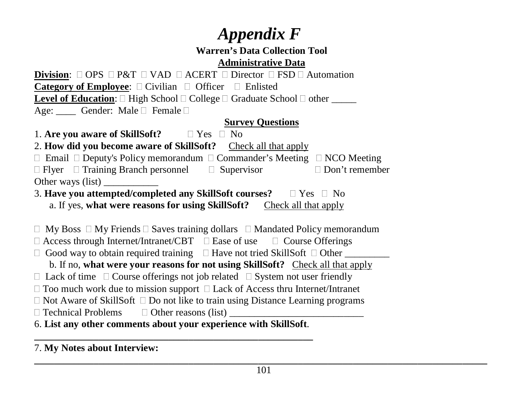# *Appendix F*

## **Warren's Data Collection ToolAdministrative Data**

**Division**:  $\Box$  OPS  $\Box$  P&T  $\Box$  VAD  $\Box$  ACERT  $\Box$  Director  $\Box$  FSD  $\Box$  Automation **Category of Employee**:  $\Box$  Civilian  $\Box$  Officer  $\Box$  Enlisted **Level of Education**:  $\Box$  High School  $\Box$  College  $\Box$  Graduate School  $\Box$  other \_\_\_\_\_ Age: Cender: Male T Female D

### **Survey Questions**

1. **Are you aware of SkillSoft?**  $\Box$  Yes  $\Box$  No

2. **How did you become aware of SkillSoft?** Check all that apply

 $\Box$  Email  $\Box$  Deputy's Policy memorandum  $\Box$  Commander's Meeting  $\Box$  NCO Meeting  $\Box$  Flyer  $\Box$  Training Branch personnel  $\Box$  Supervisor  $\Box$  Don't remember

Other ways (list)

3. **Have you attempted/completed any SkillSoft courses?**  $\Box$  Yes  $\Box$  No a. If yes, **what were reasons for using SkillSoft?** Check all that apply

 $\Box$  My Boss  $\Box$  My Friends  $\Box$  Saves training dollars  $\Box$  Mandated Policy memorandum

 $\Box$  Access through Internet/Intranet/CBT  $\Box$  Ease of use  $\Box$  Course Offerings

 $\Box$  Good way to obtain required training  $\Box$  Have not tried SkillSoft  $\Box$  Other \_\_\_\_\_\_\_\_\_

b. If no, **what were your reasons for not using SkillSoft?** Check all that apply

 $\Box$  Lack of time  $\Box$  Course offerings not job related  $\Box$  System not user friendly

 $\Box$  Too much work due to mission support  $\Box$  Lack of Access thru Internet/Intranet

 $\Box$  Not Aware of SkillSoft  $\Box$  Do not like to train using Distance Learning programs

 $\Box$  Technical Problems  $\Box$  Other reasons (list)

6. **List any other comments about your experience with SkillSoft**.

7. **My Notes about Interview:**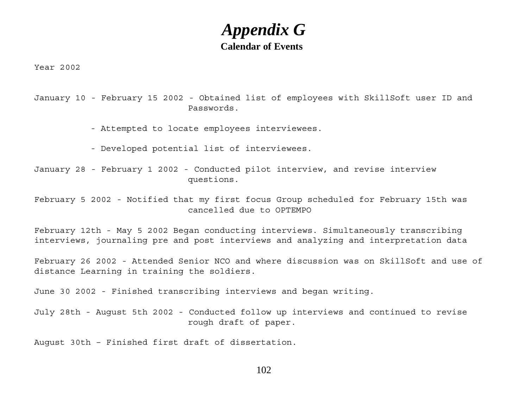## **Calendar of Events***Appendix G*

Year 2002

January 10 - February 15 2002 - Obtained list of employees with SkillSoft user ID and Passwords.

- Attempted to locate employees interviewees.

- Developed potential list of interviewees.

January 28 - February 1 2002 - Conducted pilot interview, and revise interview questions.

February 5 2002 - Notified that my first focus Group scheduled for February 15th was cancelled due to OPTEMPO

February 12th - May 5 2002 Began conducting interviews. Simultaneously transcribing interviews, journaling pre and post interviews and analyzing and interpretation data

February 26 2002 - Attended Senior NCO and where discussion was on SkillSoft and use of distance Learning in training the soldiers.

June 30 2002 - Finished transcribing interviews and began writing.

July 28th - August 5th 2002 - Conducted follow up interviews and continued to revise rough draft of paper.

August 30th – Finished first draft of dissertation.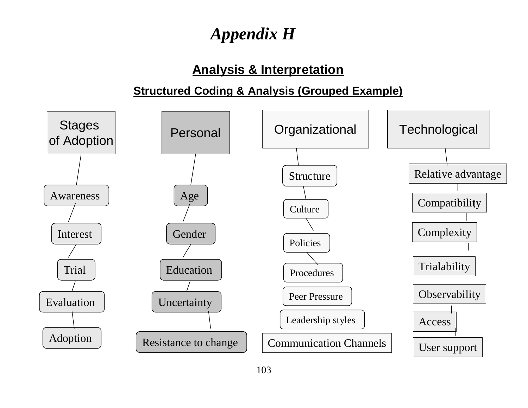# *Appendix H*

## **Analysis & Interpretation**

## **Structured Coding & Analysis (Grouped Example)**

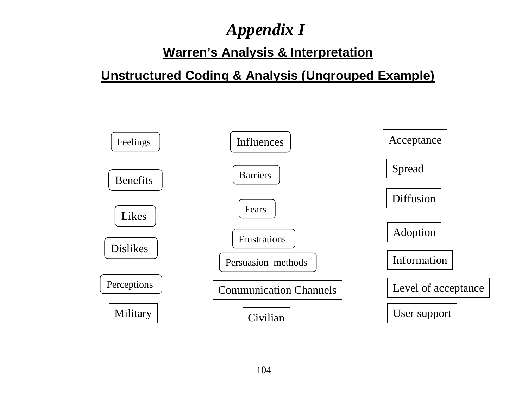# *Appendix I*

# **Warren's Analysis & Interpretation**

# **Unstructured Coding & Analysis (Ungrouped Example)**



 $\ddot{\phantom{a}}$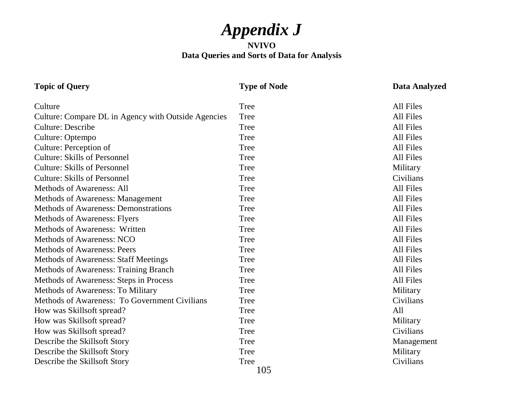# *Appendix J*

#### **NVIVO Data Queries and Sorts of Data for Analysis**

## **Topic of Query Type of Node Data Analyzed**

| Culture                                             | <b>Tree</b> | All Files  |
|-----------------------------------------------------|-------------|------------|
| Culture: Compare DL in Agency with Outside Agencies | <b>Tree</b> | All Files  |
| <b>Culture: Describe</b>                            | <b>Tree</b> | All Files  |
| Culture: Optempo                                    | Tree        | All Files  |
| Culture: Perception of                              | <b>Tree</b> | All Files  |
| <b>Culture: Skills of Personnel</b>                 | <b>Tree</b> | All Files  |
| <b>Culture: Skills of Personnel</b>                 | Tree        | Military   |
| <b>Culture: Skills of Personnel</b>                 | Tree        | Civilians  |
| <b>Methods of Awareness: All</b>                    | Tree        | All Files  |
| <b>Methods of Awareness: Management</b>             | Tree        | All Files  |
| <b>Methods of Awareness: Demonstrations</b>         | Tree        | All Files  |
| <b>Methods of Awareness: Flyers</b>                 | Tree        | All Files  |
| <b>Methods of Awareness: Written</b>                | Tree        | All Files  |
| Methods of Awareness: NCO                           | Tree        | All Files  |
| <b>Methods of Awareness: Peers</b>                  | <b>Tree</b> | All Files  |
| <b>Methods of Awareness: Staff Meetings</b>         | Tree        | All Files  |
| Methods of Awareness: Training Branch               | Tree        | All Files  |
| Methods of Awareness: Steps in Process              | Tree        | All Files  |
| Methods of Awareness: To Military                   | Tree        | Military   |
| Methods of Awareness: To Government Civilians       | Tree        | Civilians  |
| How was Skillsoft spread?                           | Tree        | All        |
| How was Skillsoft spread?                           | <b>Tree</b> | Military   |
| How was Skillsoft spread?                           | Tree        | Civilians  |
| Describe the Skillsoft Story                        | Tree        | Management |
| Describe the Skillsoft Story                        | Tree        | Military   |
| Describe the Skillsoft Story                        | Tree        | Civilians  |
|                                                     | 105         |            |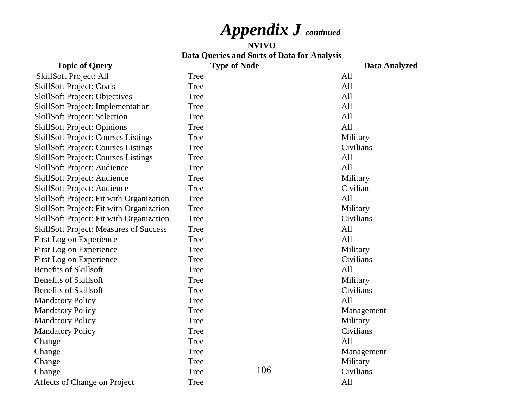# *Appendix J continued*

#### **NVIVOData Queries and Sorts of Data for Analysis**

106**Topic of Query Type of Node Data Analyzed** SkillSoft Project: All Tree All SkillSoft Project: Goals Tree All SkillSoft Project: Objectives Tree All SkillSoft Project: Implementation Tree All SkillSoft Project: Selection Tree All SkillSoft Project: Opinions Tree All SkillSoft Project: Courses Listings Tree Military SkillSoft Project: Courses Listings Tree Civilians SkillSoft Project: Courses Listings Tree All SkillSoft Project: Audience Tree All SkillSoft Project: Audience Tree Military SkillSoft Project: Audience Tree Civilian SkillSoft Project: Fit with Organization Tree All SkillSoft Project: Fit with Organization Tree Military SkillSoft Project: Fit with Organization Tree Civilians SkillSoft Project: Measures of Success Tree All First Log on Experience Tree Tree All First Log on Experience Tree Tree Military First Log on Experience Tree Tree Civilians Benefits of Skillsoft Tree AllBenefits of Skillsoft Tree Military Benefits of Skillsoft Tree Tree Civilians Mandatory Policy **Tree** All Mandatory Policy Tree Management Mandatory Policy Tree Military Mandatory Policy Tree Civilians Change All Change Tree Management Change and Change and Change and Change and Tree and Tree Military Change Change Civilians Affects of Change on Project Tree All